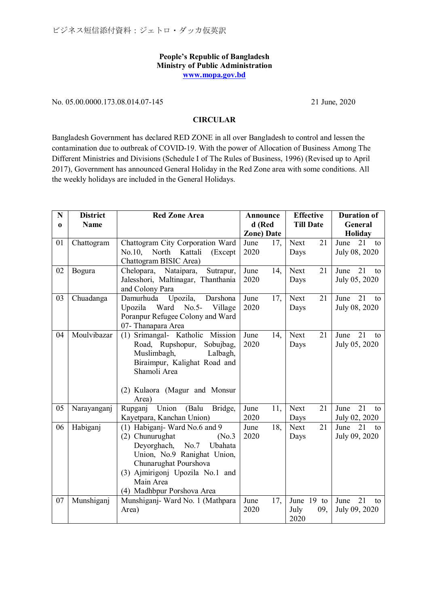## **People's Republic of Bangladesh Ministry of Public Administration [www.mopa.gov.bd](http://www.mopa.gov.bd/)**

## No. 05.00.0000.173.08.014.07-145 21 June, 2020

## **CIRCULAR**

Bangladesh Government has declared RED ZONE in all over Bangladesh to control and lessen the contamination due to outbreak of COVID-19. With the power of Allocation of Business Among The Different Ministries and Divisions (Schedule I of The Rules of Business, 1996) (Revised up to April 2017), Government has announced General Holiday in the Red Zone area with some conditions. All the weekly holidays are included in the General Holidays.

| N        | <b>District</b> | <b>Red Zone Area</b>                   | Announce          | <b>Effective</b>  | <b>Duration of</b>            |
|----------|-----------------|----------------------------------------|-------------------|-------------------|-------------------------------|
| $\bf{0}$ | <b>Name</b>     |                                        | d (Red            | <b>Till Date</b>  | General                       |
|          |                 |                                        | <b>Zone)</b> Date |                   | <b>Holiday</b>                |
| 01       | Chattogram      | Chattogram City Corporation Ward       | June<br>17,       | Next<br>21        | $21$ to<br>June               |
|          |                 | No.10,<br>North Kattali<br>(Except     | 2020              | Days              | July 08, 2020                 |
|          |                 | Chattogram BISIC Area)                 |                   |                   |                               |
| 02       | Bogura          | Sutrapur,<br>Chelopara, Nataipara,     | June<br>14,       | 21<br><b>Next</b> | 21<br>June<br>to              |
|          |                 | Jalesshori, Maltinagar, Thanthania     | 2020              | Days              | July 05, 2020                 |
|          |                 | and Colony Para                        |                   |                   |                               |
| 03       | Chuadanga       | Upozila,<br>Darshona<br>Damurhuda      | June<br>17,       | Next<br>21        | $\overline{21}$<br>June<br>to |
|          |                 | Upozila<br>Ward No.5-<br>Village       | 2020              | Days              | July 08, 2020                 |
|          |                 | Poranpur Refugee Colony and Ward       |                   |                   |                               |
|          |                 | 07- Thanapara Area                     |                   |                   |                               |
| 04       | Moulvibazar     | (1) Srimangal- Katholic Mission        | 14,<br>June       | <b>Next</b><br>21 | 21<br>June<br>to              |
|          |                 | Road, Rupshopur,<br>Sobujbag,          | 2020              | Days              | July 05, 2020                 |
|          |                 | Muslimbagh,<br>Lalbagh,                |                   |                   |                               |
|          |                 | Biraimpur, Kalighat Road and           |                   |                   |                               |
|          |                 | Shamoli Area                           |                   |                   |                               |
|          |                 |                                        |                   |                   |                               |
|          |                 | (2) Kulaora (Magur and Monsur<br>Area) |                   |                   |                               |
| 05       | Narayanganj     | Union<br>(Balu<br>Bridge,<br>Rupganj   | June<br>11,       | <b>Next</b><br>21 | 21<br>June<br>to              |
|          |                 | Kayetpara, Kanchan Union)              | 2020              | Days              | July 02, 2020                 |
| 06       | Habiganj        | (1) Habiganj-Ward No.6 and 9           | June<br>18,       | Next<br>21        | 21<br>June<br>to              |
|          |                 | (2) Chunurughat<br>(No.3)              | 2020              | Days              | July 09, 2020                 |
|          |                 | Deyorghach,<br>No.7<br>Ubahata         |                   |                   |                               |
|          |                 | Union, No.9 Ranighat Union,            |                   |                   |                               |
|          |                 | Chunarughat Pourshova                  |                   |                   |                               |
|          |                 | (3) Ajmirigonj Upozila No.1 and        |                   |                   |                               |
|          |                 | Main Area                              |                   |                   |                               |
|          |                 | (4) Madhbpur Porshova Area             |                   |                   |                               |
| 07       | Munshiganj      | Munshiganj- Ward No. 1 (Mathpara       | 17,<br>June       | June 19 to        | 21<br>June<br>to              |
|          |                 | Area)                                  | 2020              | July<br>09,       | July 09, 2020                 |
|          |                 |                                        |                   | 2020              |                               |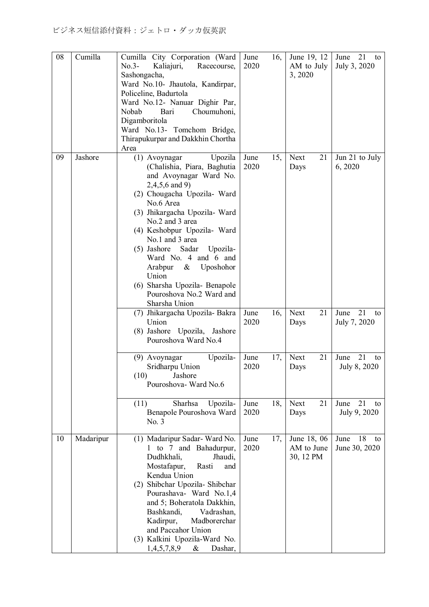| 08 | Cumilla   | Cumilla City Corporation (Ward<br>$No.3-$<br>Kaliajuri,<br>Racecourse,<br>Sashongacha,<br>Ward No.10- Jhautola, Kandirpar,<br>Policeline, Badurtola<br>Ward No.12- Nanuar Dighir Par,<br>Nobab<br>Bari<br>Choumuhoni,<br>Digamboritola<br>Ward No.13- Tomchom Bridge,<br>Thirapukurpar and Dakkhin Chortha<br>Area                                                                                                                      | 16,<br>June<br>2020 | June 19, 12<br>AM to July<br>3, 2020   | 21<br>June<br>to<br>July 3, 2020  |
|----|-----------|-----------------------------------------------------------------------------------------------------------------------------------------------------------------------------------------------------------------------------------------------------------------------------------------------------------------------------------------------------------------------------------------------------------------------------------------|---------------------|----------------------------------------|-----------------------------------|
| 09 | Jashore   | Upozila<br>(1) Avoynagar<br>(Chalishia, Piara, Baghutia<br>and Avoynagar Ward No.<br>$2,4,5,6$ and 9)<br>(2) Chougacha Upozila- Ward<br>No.6 Area<br>(3) Jhikargacha Upozila- Ward<br>No.2 and 3 area<br>(4) Keshobpur Upozila- Ward<br>No.1 and 3 area<br>(5) Jashore Sadar<br>Upozila-<br>Ward No. 4 and 6 and<br>Arabpur<br>Uposhohor<br>$\&$<br>Union<br>(6) Sharsha Upozila- Benapole<br>Pouroshova No.2 Ward and<br>Sharsha Union | 15,<br>June<br>2020 | 21<br>Next<br>Days                     | Jun 21 to July<br>6, 2020         |
|    |           | (7) Jhikargacha Upozila-Bakra<br>Union<br>(8) Jashore Upozila, Jashore<br>Pouroshova Ward No.4                                                                                                                                                                                                                                                                                                                                          | 16,<br>June<br>2020 | 21<br>Next<br>Days                     | 21<br>June<br>to<br>July 7, 2020  |
|    |           | (9) Avoynagar<br>Upozila-<br>Sridharpu Union<br>(10)<br>Jashore<br>Pouroshova-Ward No.6                                                                                                                                                                                                                                                                                                                                                 | June<br>17,<br>2020 | 21<br>Next<br>Days                     | 21<br>June<br>to<br>July 8, 2020  |
|    |           | Sharhsa<br>Upozila-<br>(11)<br>Benapole Pouroshova Ward<br>No. 3                                                                                                                                                                                                                                                                                                                                                                        | June<br>18,<br>2020 | 21<br><b>Next</b><br>Days              | 21<br>June<br>to<br>July 9, 2020  |
| 10 | Madaripur | (1) Madaripur Sadar-Ward No.<br>1 to 7 and Bahadurpur,<br>Dudhkhali,<br>Jhaudi,<br>Mostafapur,<br>Rasti<br>and<br>Kendua Union<br>Shibchar Upozila- Shibchar<br>(2)<br>Pourashava- Ward No.1,4<br>and 5; Boheratola Dakkhin,<br>Bashkandi,<br>Vadrashan,<br>Kadirpur,<br>Madborerchar<br>and Paccahor Union<br>(3) Kalkini Upozila-Ward No.<br>1,4,5,7,8,9<br>Dashar,<br>&                                                              | 17,<br>June<br>2020 | June 18, 06<br>AM to June<br>30, 12 PM | 18<br>June<br>to<br>June 30, 2020 |